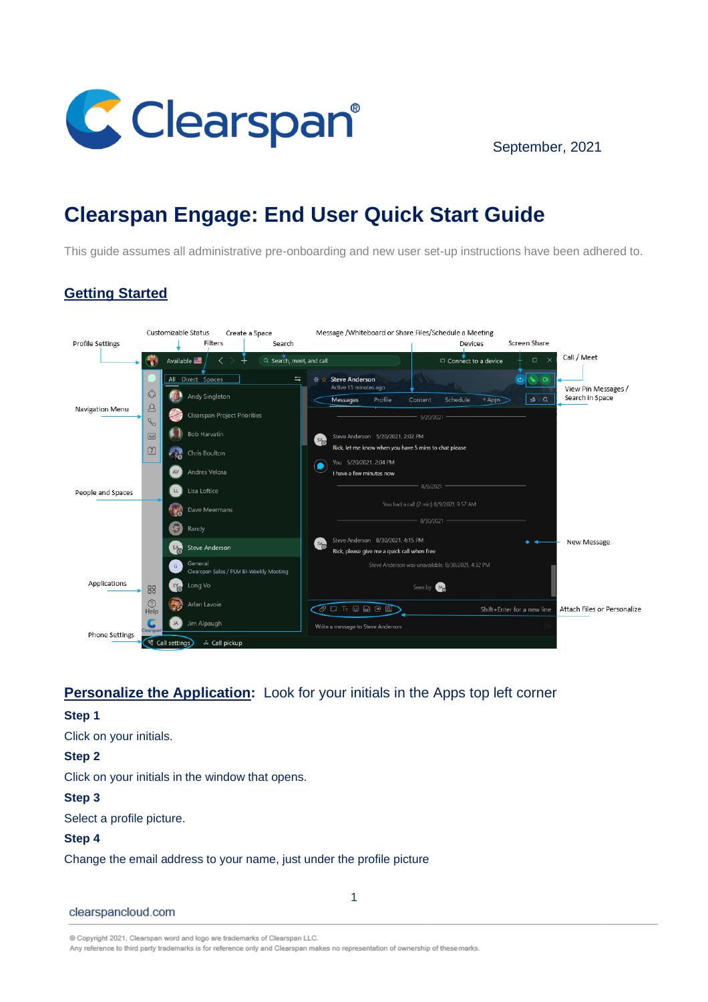

September, 2021

# **Clearspan Engage: End User Quick Start Guide**

This guide assumes all administrative pre-onboarding and new user set-up instructions have been adhered to.

## **Getting Started**



## **Personalize the Application:** Look for your initials in the Apps top left corner

#### **Step 1**

Click on your initials.

**Step 2** 

Click on your initials in the window that opens.

#### **Step 3**

Select a profile picture.

#### **Step 4**

Change the email address to your name, just under the profile picture

clearspancloud.com

@ Copyright 2021, Clearspan word and logo are trademarks of Clearspan LLC.

Any reference to third party trademarks is for reference only and Clearspan makes no representation of ownership of these marks.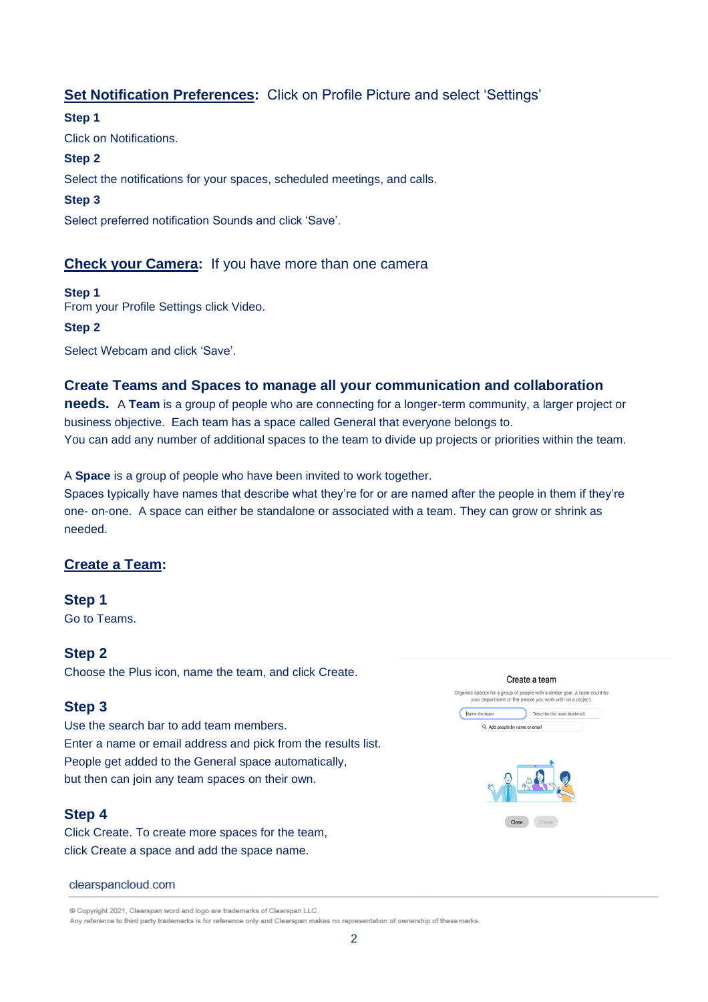## **Set Notification Preferences:** Click on Profile Picture and select 'Settings'

#### **Step 1**

Click on Notifications.

#### **Step 2**

Select the notifications for your spaces, scheduled meetings, and calls.

#### **Step 3**

Select preferred notification Sounds and click 'Save'.

## **Check your Camera:** If you have more than one camera

## **Step 1**

From your Profile Settings click Video.

#### **Step 2**

Select Webcam and click 'Save'.

## **Create Teams and Spaces to manage all your communication and collaboration**

**needs.** A **Team** is a group of people who are connecting for a longer-term community, a larger project or business objective. Each team has a space called General that everyone belongs to. You can add any number of additional spaces to the team to divide up projects or priorities within the team.

A **Space** is a group of people who have been invited to work together.

Spaces typically have names that describe what they're for or are named after the people in them if they're one- on-one. A space can either be standalone or associated with a team. They can grow or shrink as needed.

## **Create a Team:**

## **Step 1**

Go to Teams.

## **Step 2**

Choose the Plus icon, name the team, and click Create.

## **Step 3**

Use the search bar to add team members. Enter a name or email address and pick from the results list. People get added to the General space automatically, but then can join any team spaces on their own.

## **Step 4**

Click Create. To create more spaces for the team, click Create a space and add the space name.



@ Copyright 2021, Clearspan word and logo are trademarks of Clearspan LLC.



Any reference to third party trademarks is for reference only and Clearspan makes no representation of ownership of these marks